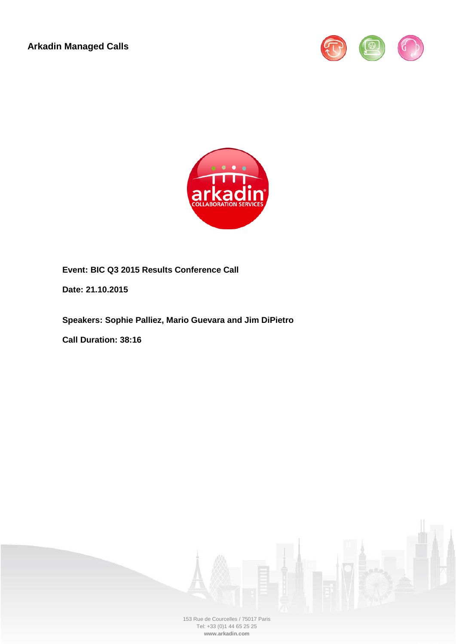**Arkadin Managed Calls**





**Event: BIC Q3 2015 Results Conference Call**

**Date: 21.10.2015**

**Speakers: Sophie Palliez, Mario Guevara and Jim DiPietro**

**Call Duration: 38:16**



153 Rue de Courcelles / 75017 Paris Tel: +33 (0)1 44 65 25 25 **www.arkadin.com**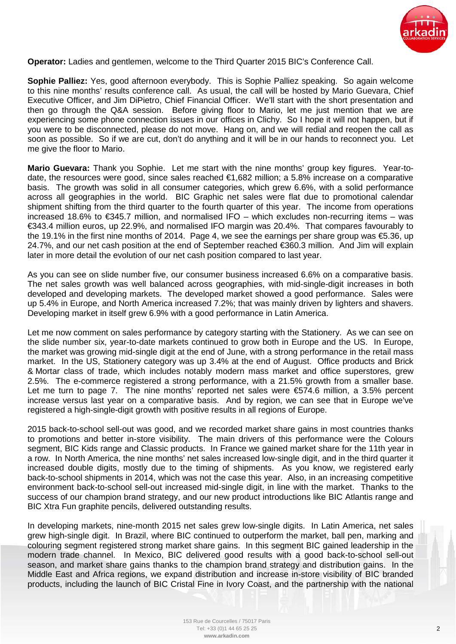

**Operator:** Ladies and gentlemen, welcome to the Third Quarter 2015 BIC's Conference Call.

**Sophie Palliez:** Yes, good afternoon everybody. This is Sophie Palliez speaking. So again welcome to this nine months' results conference call. As usual, the call will be hosted by Mario Guevara, Chief Executive Officer, and Jim DiPietro, Chief Financial Officer. We'll start with the short presentation and then go through the Q&A session. Before giving floor to Mario, let me just mention that we are experiencing some phone connection issues in our offices in Clichy. So I hope it will not happen, but if you were to be disconnected, please do not move. Hang on, and we will redial and reopen the call as soon as possible. So if we are cut, don't do anything and it will be in our hands to reconnect you. Let me give the floor to Mario.

**Mario Guevara:** Thank you Sophie. Let me start with the nine months' group key figures. Year-todate, the resources were good, since sales reached €1,682 million; a 5.8% increase on a comparative basis. The growth was solid in all consumer categories, which grew 6.6%, with a solid performance across all geographies in the world. BIC Graphic net sales were flat due to promotional calendar shipment shifting from the third quarter to the fourth quarter of this year. The income from operations increased 18.6% to €345.7 million, and normalised IFO – which excludes non-recurring items – was €343.4 million euros, up 22.9%, and normalised IFO margin was 20.4%. That compares favourably to the 19.1% in the first nine months of 2014. Page 4, we see the earnings per share group was €5.36, up 24.7%, and our net cash position at the end of September reached €360.3 million. And Jim will explain later in more detail the evolution of our net cash position compared to last year.

As you can see on slide number five, our consumer business increased 6.6% on a comparative basis. The net sales growth was well balanced across geographies, with mid-single-digit increases in both developed and developing markets. The developed market showed a good performance. Sales were up 5.4% in Europe, and North America increased 7.2%; that was mainly driven by lighters and shavers. Developing market in itself grew 6.9% with a good performance in Latin America.

Let me now comment on sales performance by category starting with the Stationery. As we can see on the slide number six, year-to-date markets continued to grow both in Europe and the US. In Europe, the market was growing mid-single digit at the end of June, with a strong performance in the retail mass market. In the US, Stationery category was up 3.4% at the end of August. Office products and Brick & Mortar class of trade, which includes notably modern mass market and office superstores, grew 2.5%. The e-commerce registered a strong performance, with a 21.5% growth from a smaller base. Let me turn to page 7. The nine months' reported net sales were €574.6 million, a 3.5% percent increase versus last year on a comparative basis. And by region, we can see that in Europe we've registered a high-single-digit growth with positive results in all regions of Europe.

2015 back-to-school sell-out was good, and we recorded market share gains in most countries thanks to promotions and better in-store visibility. The main drivers of this performance were the Colours segment, BIC Kids range and Classic products. In France we gained market share for the 11th year in a row. In North America, the nine months' net sales increased low-single digit, and in the third quarter it increased double digits, mostly due to the timing of shipments. As you know, we registered early back-to-school shipments in 2014, which was not the case this year. Also, in an increasing competitive environment back-to-school sell-out increased mid-single digit, in line with the market. Thanks to the success of our champion brand strategy, and our new product introductions like BIC Atlantis range and BIC Xtra Fun graphite pencils, delivered outstanding results.

In developing markets, nine-month 2015 net sales grew low-single digits. In Latin America, net sales grew high-single digit. In Brazil, where BIC continued to outperform the market, ball pen, marking and colouring segment registered strong market share gains. In this segment BIC gained leadership in the modern trade channel. In Mexico, BIC delivered good results with a good back-to-school sell-out season, and market share gains thanks to the champion brand strategy and distribution gains. In the Middle East and Africa regions, we expand distribution and increase in-store visibility of BIC branded products, including the launch of BIC Cristal Fine in Ivory Coast, and the partnership with the national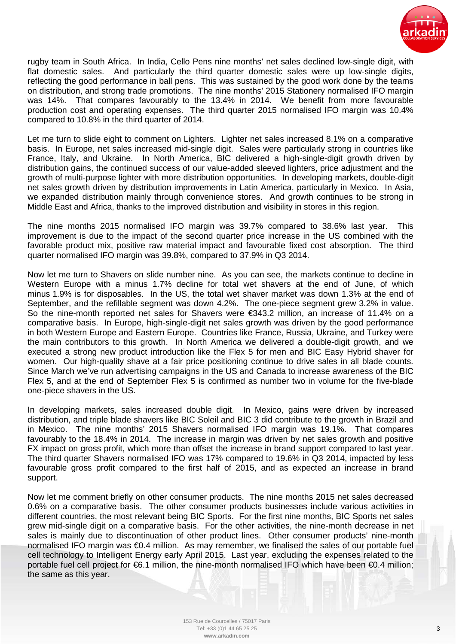

rugby team in South Africa. In India, Cello Pens nine months' net sales declined low-single digit, with flat domestic sales. And particularly the third quarter domestic sales were up low-single digits, reflecting the good performance in ball pens. This was sustained by the good work done by the teams on distribution, and strong trade promotions. The nine months' 2015 Stationery normalised IFO margin was 14%. That compares favourably to the 13.4% in 2014. We benefit from more favourable production cost and operating expenses. The third quarter 2015 normalised IFO margin was 10.4% compared to 10.8% in the third quarter of 2014.

Let me turn to slide eight to comment on Lighters. Lighter net sales increased 8.1% on a comparative basis. In Europe, net sales increased mid-single digit. Sales were particularly strong in countries like France, Italy, and Ukraine. In North America, BIC delivered a high-single-digit growth driven by distribution gains, the continued success of our value-added sleeved lighters, price adjustment and the growth of multi-purpose lighter with more distribution opportunities. In developing markets, double-digit net sales growth driven by distribution improvements in Latin America, particularly in Mexico. In Asia, we expanded distribution mainly through convenience stores. And growth continues to be strong in Middle East and Africa, thanks to the improved distribution and visibility in stores in this region.

The nine months 2015 normalised IFO margin was 39.7% compared to 38.6% last year. This improvement is due to the impact of the second quarter price increase in the US combined with the favorable product mix, positive raw material impact and favourable fixed cost absorption. The third quarter normalised IFO margin was 39.8%, compared to 37.9% in Q3 2014.

Now let me turn to Shavers on slide number nine. As you can see, the markets continue to decline in Western Europe with a minus 1.7% decline for total wet shavers at the end of June, of which minus 1.9% is for disposables. In the US, the total wet shaver market was down 1.3% at the end of September, and the refillable segment was down 4.2%. The one-piece segment grew 3.2% in value. So the nine-month reported net sales for Shavers were €343.2 million, an increase of 11.4% on a comparative basis. In Europe, high-single-digit net sales growth was driven by the good performance in both Western Europe and Eastern Europe. Countries like France, Russia, Ukraine, and Turkey were the main contributors to this growth. In North America we delivered a double-digit growth, and we executed a strong new product introduction like the Flex 5 for men and BIC Easy Hybrid shaver for women. Our high-quality shave at a fair price positioning continue to drive sales in all blade counts. Since March we've run advertising campaigns in the US and Canada to increase awareness of the BIC Flex 5, and at the end of September Flex 5 is confirmed as number two in volume for the five-blade one-piece shavers in the US.

In developing markets, sales increased double digit. In Mexico, gains were driven by increased distribution, and triple blade shavers like BIC Soleil and BIC 3 did contribute to the growth in Brazil and in Mexico. The nine months' 2015 Shavers normalised IFO margin was 19.1%. That compares favourably to the 18.4% in 2014. The increase in margin was driven by net sales growth and positive FX impact on gross profit, which more than offset the increase in brand support compared to last year. The third quarter Shavers normalised IFO was 17% compared to 19.6% in Q3 2014, impacted by less favourable gross profit compared to the first half of 2015, and as expected an increase in brand support.

Now let me comment briefly on other consumer products. The nine months 2015 net sales decreased 0.6% on a comparative basis. The other consumer products businesses include various activities in different countries, the most relevant being BIC Sports. For the first nine months, BIC Sports net sales grew mid-single digit on a comparative basis. For the other activities, the nine-month decrease in net sales is mainly due to discontinuation of other product lines. Other consumer products' nine-month normalised IFO margin was €0.4 million. As may remember, we finalised the sales of our portable fuel cell technology to Intelligent Energy early April 2015. Last year, excluding the expenses related to the portable fuel cell project for €6.1 million, the nine-month normalised IFO which have been €0.4 million; the same as this year.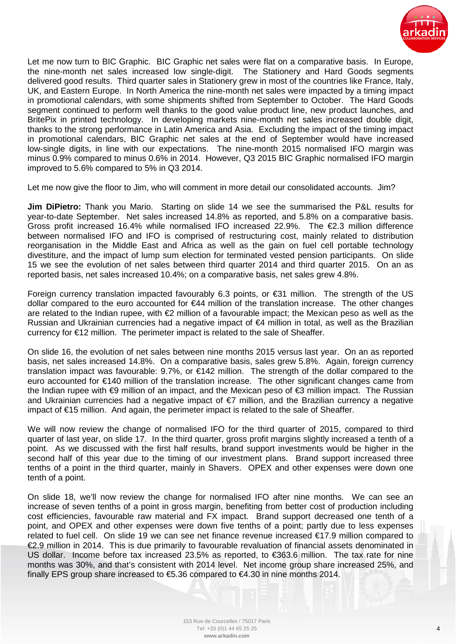

Let me now turn to BIC Graphic. BIC Graphic net sales were flat on a comparative basis. In Europe, the nine-month net sales increased low single-digit. The Stationery and Hard Goods segments delivered good results. Third quarter sales in Stationery grew in most of the countries like France, Italy, UK, and Eastern Europe. In North America the nine-month net sales were impacted by a timing impact in promotional calendars, with some shipments shifted from September to October. The Hard Goods segment continued to perform well thanks to the good value product line, new product launches, and BritePix in printed technology. In developing markets nine-month net sales increased double digit, thanks to the strong performance in Latin America and Asia. Excluding the impact of the timing impact in promotional calendars, BIC Graphic net sales at the end of September would have increased low-single digits, in line with our expectations. The nine-month 2015 normalised IFO margin was minus 0.9% compared to minus 0.6% in 2014. However, Q3 2015 BIC Graphic normalised IFO margin improved to 5.6% compared to 5% in Q3 2014.

Let me now give the floor to Jim, who will comment in more detail our consolidated accounts. Jim?

**Jim DiPietro:** Thank you Mario. Starting on slide 14 we see the summarised the P&L results for year-to-date September. Net sales increased 14.8% as reported, and 5.8% on a comparative basis. Gross profit increased 16.4% while normalised IFO increased 22.9%. The €2.3 million difference between normalised IFO and IFO is comprised of restructuring cost, mainly related to distribution reorganisation in the Middle East and Africa as well as the gain on fuel cell portable technology divestiture, and the impact of lump sum election for terminated vested pension participants. On slide 15 we see the evolution of net sales between third quarter 2014 and third quarter 2015. On an as reported basis, net sales increased 10.4%; on a comparative basis, net sales grew 4.8%.

Foreign currency translation impacted favourably 6.3 points, or €31 million. The strength of the US dollar compared to the euro accounted for €44 million of the translation increase. The other changes are related to the Indian rupee, with  $\epsilon$  million of a favourable impact; the Mexican peso as well as the Russian and Ukrainian currencies had a negative impact of €4 million in total, as well as the Brazilian currency for €12 million. The perimeter impact is related to the sale of Sheaffer.

On slide 16, the evolution of net sales between nine months 2015 versus last year. On an as reported basis, net sales increased 14.8%. On a comparative basis, sales grew 5.8%. Again, foreign currency translation impact was favourable: 9.7%, or €142 million. The strength of the dollar compared to the euro accounted for €140 million of the translation increase. The other significant changes came from the Indian rupee with €9 million of an impact, and the Mexican peso of €3 million impact. The Russian and Ukrainian currencies had a negative impact of €7 million, and the Brazilian currency a negative impact of €15 million. And again, the perimeter impact is related to the sale of Sheaffer.

We will now review the change of normalised IFO for the third quarter of 2015, compared to third quarter of last year, on slide 17. In the third quarter, gross profit margins slightly increased a tenth of a point. As we discussed with the first half results, brand support investments would be higher in the second half of this year due to the timing of our investment plans. Brand support increased three tenths of a point in the third quarter, mainly in Shavers. OPEX and other expenses were down one tenth of a point.

On slide 18, we'll now review the change for normalised IFO after nine months. We can see an increase of seven tenths of a point in gross margin, benefiting from better cost of production including cost efficiencies, favourable raw material and FX impact. Brand support decreased one tenth of a point, and OPEX and other expenses were down five tenths of a point; partly due to less expenses related to fuel cell. On slide 19 we can see net finance revenue increased €17.9 million compared to €2.9 million in 2014. This is due primarily to favourable revaluation of financial assets denominated in US dollar. Income before tax increased 23.5% as reported, to €363.6 million. The tax rate for nine months was 30%, and that's consistent with 2014 level. Net income group share increased 25%, and finally EPS group share increased to €5.36 compared to €4.30 in nine months 2014.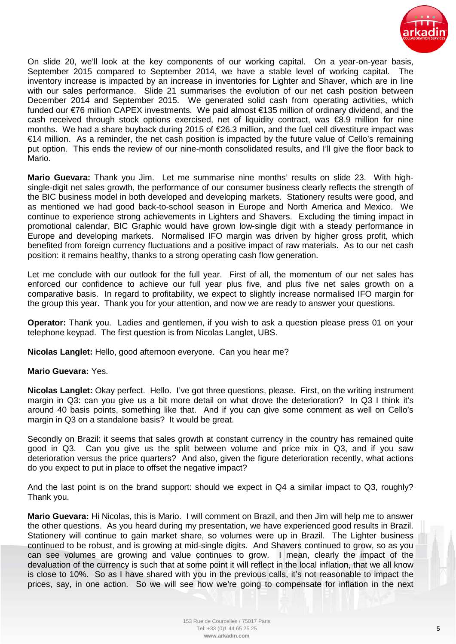

On slide 20, we'll look at the key components of our working capital. On a year-on-year basis, September 2015 compared to September 2014, we have a stable level of working capital. The inventory increase is impacted by an increase in inventories for Lighter and Shaver, which are in line with our sales performance. Slide 21 summarises the evolution of our net cash position between December 2014 and September 2015. We generated solid cash from operating activities, which funded our €76 million CAPEX investments. We paid almost €135 million of ordinary dividend, and the cash received through stock options exercised, net of liquidity contract, was €8.9 million for nine months. We had a share buyback during 2015 of €26.3 million, and the fuel cell divestiture impact was €14 million. As a reminder, the net cash position is impacted by the future value of Cello's remaining put option. This ends the review of our nine-month consolidated results, and I'll give the floor back to Mario.

**Mario Guevara:** Thank you Jim. Let me summarise nine months' results on slide 23. With highsingle-digit net sales growth, the performance of our consumer business clearly reflects the strength of the BIC business model in both developed and developing markets. Stationery results were good, and as mentioned we had good back-to-school season in Europe and North America and Mexico. We continue to experience strong achievements in Lighters and Shavers. Excluding the timing impact in promotional calendar, BIC Graphic would have grown low-single digit with a steady performance in Europe and developing markets. Normalised IFO margin was driven by higher gross profit, which benefited from foreign currency fluctuations and a positive impact of raw materials. As to our net cash position: it remains healthy, thanks to a strong operating cash flow generation.

Let me conclude with our outlook for the full year. First of all, the momentum of our net sales has enforced our confidence to achieve our full year plus five, and plus five net sales growth on a comparative basis. In regard to profitability, we expect to slightly increase normalised IFO margin for the group this year. Thank you for your attention, and now we are ready to answer your questions.

**Operator:** Thank you. Ladies and gentlemen, if you wish to ask a question please press 01 on your telephone keypad. The first question is from Nicolas Langlet, UBS.

**Nicolas Langlet:** Hello, good afternoon everyone. Can you hear me?

## **Mario Guevara:** Yes.

**Nicolas Langlet:** Okay perfect. Hello. I've got three questions, please. First, on the writing instrument margin in Q3: can you give us a bit more detail on what drove the deterioration? In Q3 I think it's around 40 basis points, something like that. And if you can give some comment as well on Cello's margin in Q3 on a standalone basis? It would be great.

Secondly on Brazil: it seems that sales growth at constant currency in the country has remained quite good in Q3. Can you give us the split between volume and price mix in Q3, and if you saw deterioration versus the price quarters? And also, given the figure deterioration recently, what actions do you expect to put in place to offset the negative impact?

And the last point is on the brand support: should we expect in Q4 a similar impact to Q3, roughly? Thank you.

**Mario Guevara:** Hi Nicolas, this is Mario. I will comment on Brazil, and then Jim will help me to answer the other questions. As you heard during my presentation, we have experienced good results in Brazil. Stationery will continue to gain market share, so volumes were up in Brazil. The Lighter business continued to be robust, and is growing at mid-single digits. And Shavers continued to grow, so as you can see volumes are growing and value continues to grow. I mean, clearly the impact of the devaluation of the currency is such that at some point it will reflect in the local inflation, that we all know is close to 10%. So as I have shared with you in the previous calls, it's not reasonable to impact the prices, say, in one action. So we will see how we're going to compensate for inflation in the next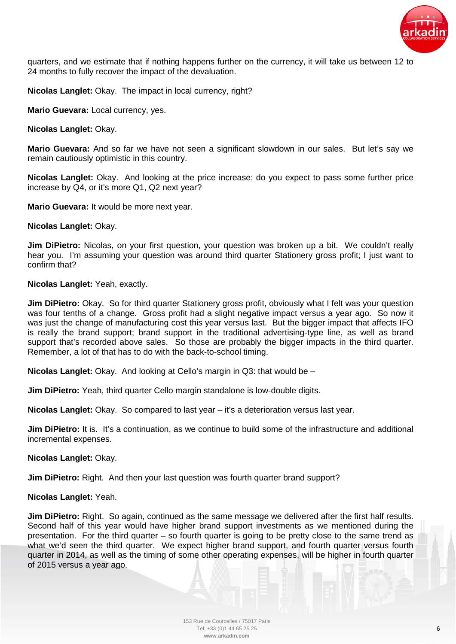

quarters, and we estimate that if nothing happens further on the currency, it will take us between 12 to 24 months to fully recover the impact of the devaluation.

**Nicolas Langlet:** Okay. The impact in local currency, right?

**Mario Guevara:** Local currency, yes.

**Nicolas Langlet:** Okay.

**Mario Guevara:** And so far we have not seen a significant slowdown in our sales. But let's say we remain cautiously optimistic in this country.

**Nicolas Langlet:** Okay. And looking at the price increase: do you expect to pass some further price increase by Q4, or it's more Q1, Q2 next year?

**Mario Guevara:** It would be more next year.

**Nicolas Langlet:** Okay.

**Jim DiPietro:** Nicolas, on your first question, your question was broken up a bit. We couldn't really hear you. I'm assuming your question was around third quarter Stationery gross profit; I just want to confirm that?

**Nicolas Langlet:** Yeah, exactly.

**Jim DiPietro:** Okay. So for third quarter Stationery gross profit, obviously what I felt was your question was four tenths of a change. Gross profit had a slight negative impact versus a year ago. So now it was just the change of manufacturing cost this year versus last. But the bigger impact that affects IFO is really the brand support; brand support in the traditional advertising-type line, as well as brand support that's recorded above sales. So those are probably the bigger impacts in the third quarter. Remember, a lot of that has to do with the back-to-school timing.

**Nicolas Langlet:** Okay. And looking at Cello's margin in Q3: that would be –

**Jim DiPietro:** Yeah, third quarter Cello margin standalone is low-double digits.

**Nicolas Langlet:** Okay. So compared to last year – it's a deterioration versus last year.

**Jim DiPietro:** It is. It's a continuation, as we continue to build some of the infrastructure and additional incremental expenses.

**Nicolas Langlet:** Okay.

**Jim DiPietro:** Right. And then your last question was fourth quarter brand support?

**Nicolas Langlet:** Yeah.

**Jim DiPietro:** Right. So again, continued as the same message we delivered after the first half results. Second half of this year would have higher brand support investments as we mentioned during the presentation. For the third quarter – so fourth quarter is going to be pretty close to the same trend as what we'd seen the third quarter. We expect higher brand support, and fourth quarter versus fourth quarter in 2014, as well as the timing of some other operating expenses, will be higher in fourth quarter of 2015 versus a year ago.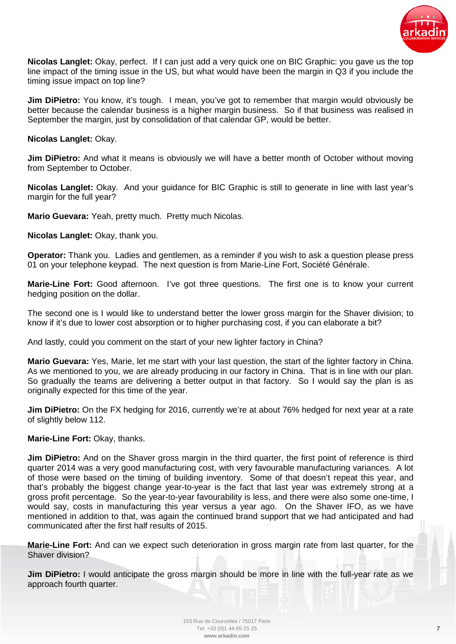

**Nicolas Langlet:** Okay, perfect. If I can just add a very quick one on BIC Graphic: you gave us the top line impact of the timing issue in the US, but what would have been the margin in Q3 if you include the timing issue impact on top line?

**Jim DiPietro:** You know, it's tough. I mean, you've got to remember that margin would obviously be better because the calendar business is a higher margin business. So if that business was realised in September the margin, just by consolidation of that calendar GP, would be better.

## **Nicolas Langlet:** Okay.

**Jim DiPietro:** And what it means is obviously we will have a better month of October without moving from September to October.

**Nicolas Langlet:** Okay. And your guidance for BIC Graphic is still to generate in line with last year's margin for the full year?

**Mario Guevara:** Yeah, pretty much. Pretty much Nicolas.

**Nicolas Langlet:** Okay, thank you.

**Operator:** Thank you. Ladies and gentlemen, as a reminder if you wish to ask a question please press 01 on your telephone keypad. The next question is from Marie-Line Fort, Société Générale.

**Marie-Line Fort:** Good afternoon. I've got three questions. The first one is to know your current hedging position on the dollar.

The second one is I would like to understand better the lower gross margin for the Shaver division; to know if it's due to lower cost absorption or to higher purchasing cost, if you can elaborate a bit?

And lastly, could you comment on the start of your new lighter factory in China?

**Mario Guevara:** Yes, Marie, let me start with your last question, the start of the lighter factory in China. As we mentioned to you, we are already producing in our factory in China. That is in line with our plan. So gradually the teams are delivering a better output in that factory. So I would say the plan is as originally expected for this time of the year.

**Jim DiPietro:** On the FX hedging for 2016, currently we're at about 76% hedged for next year at a rate of slightly below 112.

## **Marie-Line Fort:** Okay, thanks.

**Jim DiPietro:** And on the Shaver gross margin in the third quarter, the first point of reference is third quarter 2014 was a very good manufacturing cost, with very favourable manufacturing variances. A lot of those were based on the timing of building inventory. Some of that doesn't repeat this year, and that's probably the biggest change year-to-year is the fact that last year was extremely strong at a gross profit percentage. So the year-to-year favourability is less, and there were also some one-time, I would say, costs in manufacturing this year versus a year ago. On the Shaver IFO, as we have mentioned in addition to that, was again the continued brand support that we had anticipated and had communicated after the first half results of 2015.

**Marie-Line Fort:** And can we expect such deterioration in gross margin rate from last quarter, for the Shaver division?

**Jim DiPietro:** I would anticipate the gross margin should be more in line with the full-year rate as we approach fourth quarter.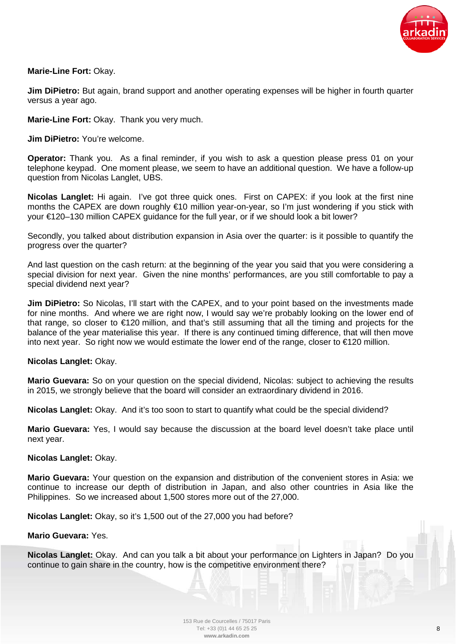

# **Marie-Line Fort:** Okay.

**Jim DiPietro:** But again, brand support and another operating expenses will be higher in fourth quarter versus a year ago.

**Marie-Line Fort:** Okay. Thank you very much.

**Jim DiPietro:** You're welcome.

**Operator:** Thank you. As a final reminder, if you wish to ask a question please press 01 on your telephone keypad. One moment please, we seem to have an additional question. We have a follow-up question from Nicolas Langlet, UBS.

**Nicolas Langlet:** Hi again. I've got three quick ones. First on CAPEX: if you look at the first nine months the CAPEX are down roughly €10 million year-on-year, so I'm just wondering if you stick with your €120–130 million CAPEX guidance for the full year, or if we should look a bit lower?

Secondly, you talked about distribution expansion in Asia over the quarter: is it possible to quantify the progress over the quarter?

And last question on the cash return: at the beginning of the year you said that you were considering a special division for next year. Given the nine months' performances, are you still comfortable to pay a special dividend next year?

**Jim DiPietro:** So Nicolas, I'll start with the CAPEX, and to your point based on the investments made for nine months. And where we are right now, I would say we're probably looking on the lower end of that range, so closer to €120 million, and that's still assuming that all the timing and projects for the balance of the year materialise this year. If there is any continued timing difference, that will then move into next year. So right now we would estimate the lower end of the range, closer to €120 million.

**Nicolas Langlet:** Okay.

**Mario Guevara:** So on your question on the special dividend, Nicolas: subject to achieving the results in 2015, we strongly believe that the board will consider an extraordinary dividend in 2016.

**Nicolas Langlet:** Okay. And it's too soon to start to quantify what could be the special dividend?

**Mario Guevara:** Yes, I would say because the discussion at the board level doesn't take place until next year.

## **Nicolas Langlet:** Okay.

**Mario Guevara:** Your question on the expansion and distribution of the convenient stores in Asia: we continue to increase our depth of distribution in Japan, and also other countries in Asia like the Philippines. So we increased about 1,500 stores more out of the 27,000.

**Nicolas Langlet:** Okay, so it's 1,500 out of the 27,000 you had before?

**Mario Guevara:** Yes.

**Nicolas Langlet:** Okay. And can you talk a bit about your performance on Lighters in Japan? Do you continue to gain share in the country, how is the competitive environment there?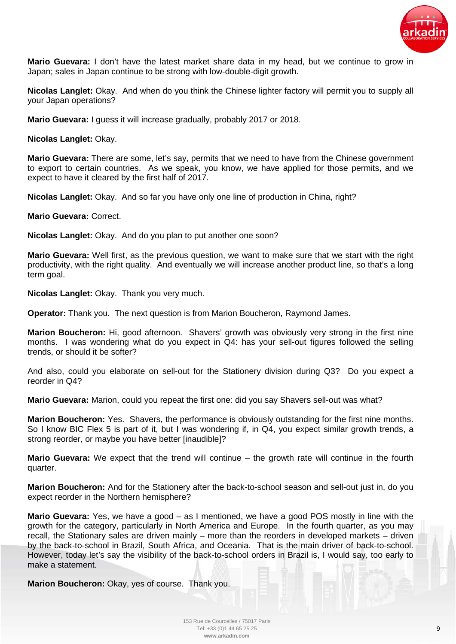

**Mario Guevara:** I don't have the latest market share data in my head, but we continue to grow in Japan; sales in Japan continue to be strong with low-double-digit growth.

**Nicolas Langlet:** Okay. And when do you think the Chinese lighter factory will permit you to supply all your Japan operations?

**Mario Guevara:** I guess it will increase gradually, probably 2017 or 2018.

**Nicolas Langlet:** Okay.

**Mario Guevara:** There are some, let's say, permits that we need to have from the Chinese government to export to certain countries. As we speak, you know, we have applied for those permits, and we expect to have it cleared by the first half of 2017.

**Nicolas Langlet:** Okay. And so far you have only one line of production in China, right?

**Mario Guevara:** Correct.

**Nicolas Langlet:** Okay. And do you plan to put another one soon?

**Mario Guevara:** Well first, as the previous question, we want to make sure that we start with the right productivity, with the right quality. And eventually we will increase another product line, so that's a long term goal.

**Nicolas Langlet:** Okay. Thank you very much.

**Operator:** Thank you. The next question is from Marion Boucheron, Raymond James.

**Marion Boucheron:** Hi, good afternoon. Shavers' growth was obviously very strong in the first nine months. I was wondering what do you expect in Q4: has your sell-out figures followed the selling trends, or should it be softer?

And also, could you elaborate on sell-out for the Stationery division during Q3? Do you expect a reorder in Q4?

**Mario Guevara:** Marion, could you repeat the first one: did you say Shavers sell-out was what?

**Marion Boucheron:** Yes. Shavers, the performance is obviously outstanding for the first nine months. So I know BIC Flex 5 is part of it, but I was wondering if, in Q4, you expect similar growth trends, a strong reorder, or maybe you have better [inaudible]?

**Mario Guevara:** We expect that the trend will continue – the growth rate will continue in the fourth quarter.

**Marion Boucheron:** And for the Stationery after the back-to-school season and sell-out just in, do you expect reorder in the Northern hemisphere?

**Mario Guevara:** Yes, we have a good – as I mentioned, we have a good POS mostly in line with the growth for the category, particularly in North America and Europe. In the fourth quarter, as you may recall, the Stationary sales are driven mainly – more than the reorders in developed markets – driven by the back-to-school in Brazil, South Africa, and Oceania. That is the main driver of back-to-school. However, today let's say the visibility of the back-to-school orders in Brazil is, I would say, too early to make a statement.

**Marion Boucheron:** Okay, yes of course. Thank you.